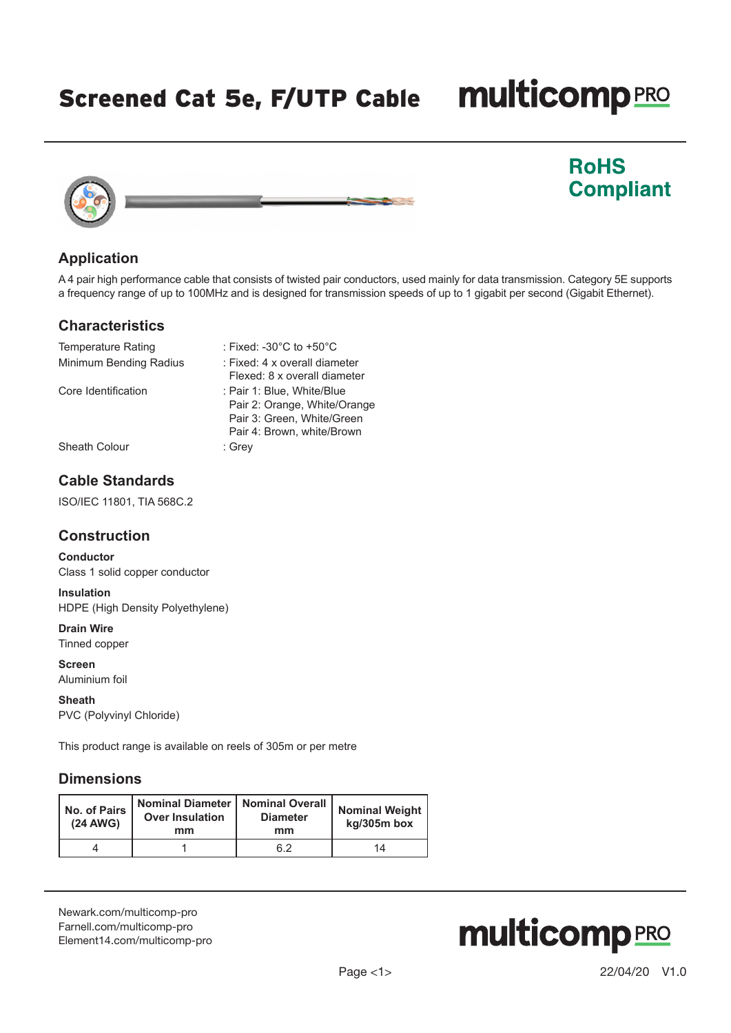Screened Cat 5e, F/UTP Cable

# **multicomp**PRO

**RoHS** 

**Compliant** 



# **Application**

A 4 pair high performance cable that consists of twisted pair conductors, used mainly for data transmission. Category 5E supports a frequency range of up to 100MHz and is designed for transmission speeds of up to 1 gigabit per second (Gigabit Ethernet).

### **Characteristics**

| <b>Temperature Rating</b> | : Fixed: -30 $^{\circ}$ C to +50 $^{\circ}$ C                                                                          |
|---------------------------|------------------------------------------------------------------------------------------------------------------------|
| Minimum Bending Radius    | : Fixed: 4 x overall diameter<br>Flexed: 8 x overall diameter                                                          |
| Core Identification       | : Pair 1: Blue, White/Blue<br>Pair 2: Orange, White/Orange<br>Pair 3: Green, White/Green<br>Pair 4: Brown, white/Brown |
| Sheath Colour             | : Grey                                                                                                                 |

# **Cable Standards**

ISO/IEC 11801, TIA 568C.2

## **Construction**

**Conductor** Class 1 solid copper conductor

**Insulation** HDPE (High Density Polyethylene)

**Drain Wire** Tinned copper

**Screen** Aluminium foil

**Sheath** PVC (Polyvinyl Chloride)

This product range is available on reels of 305m or per metre

# **Dimensions**

| No. of Pairs<br>$(24$ AWG) | Nominal Diameter   Nominal Overall<br><b>Over Insulation</b><br>mm | <b>Diameter</b><br>mm | <b>Nominal Weight</b><br>kg/305m box |  |
|----------------------------|--------------------------------------------------------------------|-----------------------|--------------------------------------|--|
|                            |                                                                    | 6.2                   | 14                                   |  |

[Newark.com/multicomp-](https://www.newark.com/multicomp-pro)pro [Farnell.com/multicomp](https://www.farnell.com/multicomp-pro)-pro [Element14.com/multicomp-pro](https://element14.com/multicomp-pro)